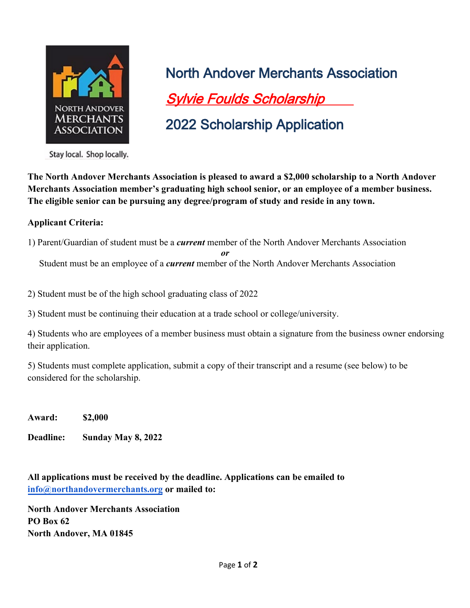

North Andover Merchants Association Sylvie Foulds Scholarship 2022 Scholarship Application

Stay local. Shop locally.

**The North Andover Merchants Association is pleased to award a \$2,000 scholarship to a North Andover Merchants Association member's graduating high school senior, or an employee of a member business. The eligible senior can be pursuing any degree/program of study and reside in any town.** 

## **Applicant Criteria:**

1) Parent/Guardian of student must be a *current* member of the North Andover Merchants Association

Student must be an employee of a *current* member of the North Andover Merchants Association

*or*

2) Student must be of the high school graduating class of 2022

3) Student must be continuing their education at a trade school or college/university.

4) Students who are employees of a member business must obtain a signature from the business owner endorsing their application.

5) Students must complete application, submit a copy of their transcript and a resume (see below) to be considered for the scholarship.

**Award: \$2,000** 

**Deadline: Sunday May 8, 2022** 

**All applications must be received by the deadline. Applications can be emailed to [info@northandovermerchants.org](mailto:info@northandovermerchants.org) or mailed to:** 

**North Andover Merchants Association PO Box 62 North Andover, MA 01845**